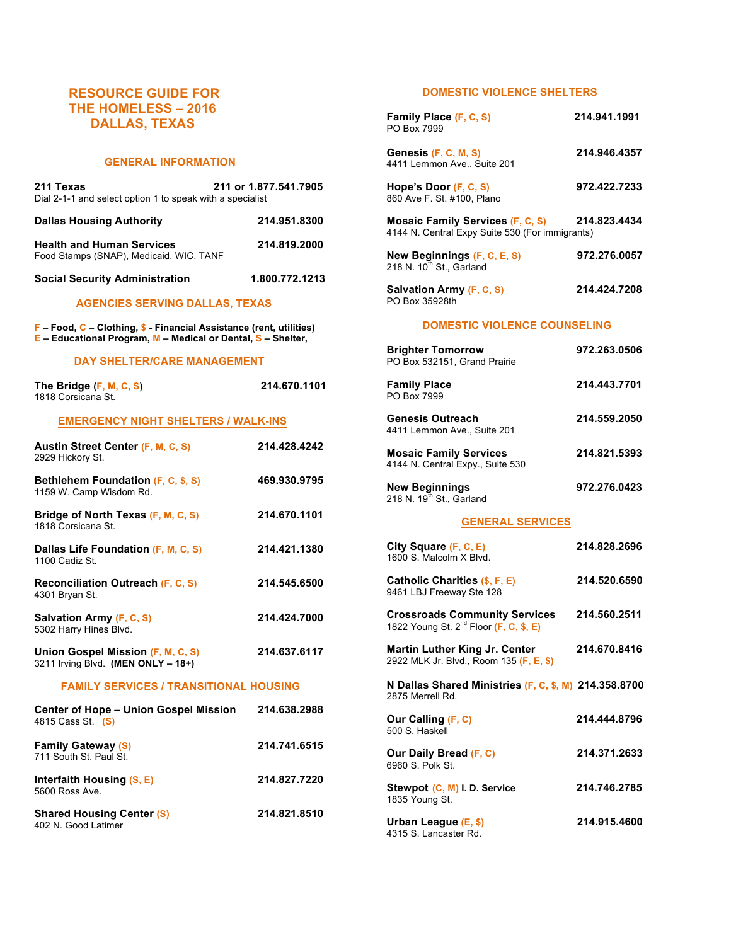# **RESOURCE GUIDE FOR THE HOMELESS – 2016 DALLAS, TEXAS**

#### **GENERAL INFORMATION**

| 211 or 1.877.541.7905<br>211 Texas<br>Dial 2-1-1 and select option 1 to speak with a specialist |                |
|-------------------------------------------------------------------------------------------------|----------------|
| <b>Dallas Housing Authority</b>                                                                 | 214.951.8300   |
| <b>Health and Human Services</b><br>Food Stamps (SNAP), Medicaid, WIC, TANF                     | 214.819.2000   |
| <b>Social Security Administration</b>                                                           | 1.800.772.1213 |
| <b>AGENCIES SERVING DALLAS, TEXAS</b>                                                           |                |

**F – Food, C – Clothing, \$ - Financial Assistance (rent, utilities) E – Educational Program, M – Medical or Dental, S – Shelter,** 

#### **DAY SHELTER/CARE MANAGEMENT**

| The Bridge (F, M, C, S)<br>1818 Corsicana St.                           | 214.670.1101 |  |
|-------------------------------------------------------------------------|--------------|--|
| <b>EMERGENCY NIGHT SHELTERS / WALK-INS</b>                              |              |  |
| <b>Austin Street Center (F, M, C, S)</b><br>2929 Hickory St.            | 214.428.4242 |  |
| Bethlehem Foundation (F, C, \$, S)<br>1159 W. Camp Wisdom Rd.           | 469.930.9795 |  |
| Bridge of North Texas (F, M, C, S)<br>1818 Corsicana St.                | 214.670.1101 |  |
| Dallas Life Foundation (F, M, C, S)<br>1100 Cadiz St.                   | 214.421.1380 |  |
| <b>Reconciliation Outreach (F, C, S)</b><br>4301 Bryan St.              | 214.545.6500 |  |
| Salvation Army (F, C, S)<br>5302 Harry Hines Blvd.                      | 214.424.7000 |  |
| Union Gospel Mission (F, M, C, S)<br>3211 Irving Blvd. (MEN ONLY - 18+) | 214.637.6117 |  |
| <b>FAMILY SERVICES / TRANSITIONAL HOUSING</b>                           |              |  |
| <b>Center of Hope - Union Gospel Mission</b><br>4815 Cass St. (S)       | 214.638.2988 |  |
| <b>Family Gateway (S)</b><br>711 South St. Paul St.                     | 214.741.6515 |  |
| Interfaith Housing (S, E)<br>5600 Ross Ave.                             | 214.827.7220 |  |
| <b>Shared Housing Center (S)</b><br>402 N. Good Latimer                 | 214.821.8510 |  |

### **DOMESTIC VIOLENCE SHELTERS**

| Family Place (F, C, S)<br>PO Box 7999                                                      | 214.941.1991 |  |
|--------------------------------------------------------------------------------------------|--------------|--|
| Genesis (F, C, M, S)<br>4411 Lemmon Ave., Suite 201                                        | 214.946.4357 |  |
| Hope's Door (F, C, S)<br>860 Ave F. St. #100, Plano                                        | 972.422.7233 |  |
| <b>Mosaic Family Services (F, C, S)</b><br>4144 N. Central Expy Suite 530 (For immigrants) | 214.823.4434 |  |
| New Beginnings (F, C, E, S)<br>218 N. 10 <sup>th</sup> St., Garland                        | 972.276.0057 |  |
| Salvation Army (F, C, S)<br>PO Box 35928th                                                 | 214.424.7208 |  |
| <b>DOMESTIC VIOLENCE COUNSELING</b>                                                        |              |  |
| <b>Brighter Tomorrow</b><br>PO Box 532151, Grand Prairie                                   | 972.263.0506 |  |
| <b>Family Place</b><br>PO Box 7999                                                         | 214.443.7701 |  |
| Genesis Outreach<br>4411 Lemmon Ave., Suite 201                                            | 214.559.2050 |  |
| <b>Mosaic Family Services</b><br>4144 N. Central Expy., Suite 530                          | 214.821.5393 |  |
| <b>New Beginnings</b><br>218 N. 19 <sup>th</sup> St., Garland                              | 972.276.0423 |  |
| <b>GENERAL SERVICES</b>                                                                    |              |  |
|                                                                                            |              |  |
| City Square (F, C, E)<br>1600 S. Malcolm X Blvd.                                           | 214.828.2696 |  |
| Catholic Charities (\$, F, E)<br>9461 LBJ Freeway Ste 128                                  | 214.520.6590 |  |
| <b>Crossroads Community Services</b><br>1822 Young St. 2 <sup>nd</sup> Floor (F, C, \$, E) | 214.560.2511 |  |
| Martin Luther King Jr. Center<br>2922 MLK Jr. Blvd., Room 135 (F, E, \$)                   | 214.670.8416 |  |
| N Dallas Shared Ministries (F, C, \$, M) 214.358.8700<br>2875 Merrell Rd.                  |              |  |
| Our Calling (F, C)<br>500 S. Haskell                                                       | 214.444.8796 |  |
| Our Daily Bread (F, C)<br>6960 S. Polk St.                                                 | 214.371.2633 |  |
| Stewpot (C, M) I. D. Service<br>1835 Young St.                                             | 214.746.2785 |  |

4315 S. Lancaster Rd.